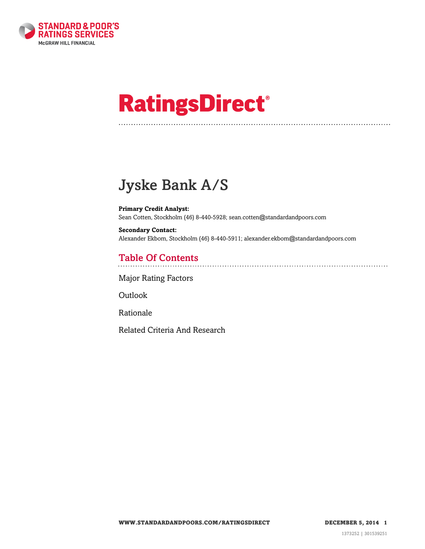

# **RatingsDirect®**

# Jyske Bank A/S

**Primary Credit Analyst:** Sean Cotten, Stockholm (46) 8-440-5928; sean.cotten@standardandpoors.com

**Secondary Contact:** Alexander Ekbom, Stockholm (46) 8-440-5911; alexander.ekbom@standardandpoors.com

## Table Of Contents

[Major Rating Factors](#page-1-0)

[Outlook](#page--1-0)

[Rationale](#page-2-0)

[Related Criteria And Research](#page-10-0)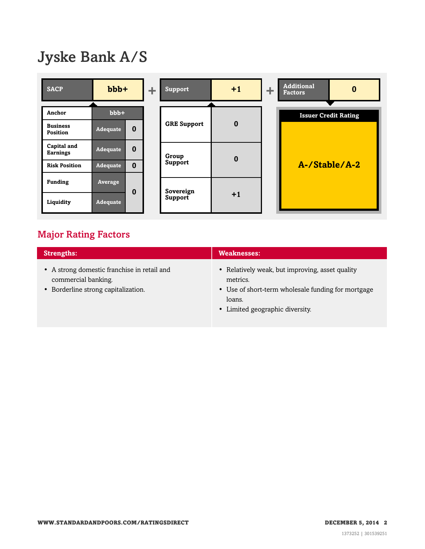# Jyske Bank A/S

| <b>SACP</b>                    | $bbb +$         |          |  |                    |          |  |                             |               |  |  |  |  |  |  |  |  | ÷. | <b>Support</b> | $+1$ | ÷ | <b>Additional</b><br><b>Factors</b> | $\bf{0}$ |
|--------------------------------|-----------------|----------|--|--------------------|----------|--|-----------------------------|---------------|--|--|--|--|--|--|--|--|----|----------------|------|---|-------------------------------------|----------|
| Anchor                         | $bbb+$          |          |  |                    |          |  | <b>Issuer Credit Rating</b> |               |  |  |  |  |  |  |  |  |    |                |      |   |                                     |          |
| <b>Business</b><br>Position    | <b>Adequate</b> | $\bf{0}$ |  | <b>GRE Support</b> | $\bf{0}$ |  |                             |               |  |  |  |  |  |  |  |  |    |                |      |   |                                     |          |
| Capital and<br><b>Earnings</b> | <b>Adequate</b> | $\bf{0}$ |  | Group              | $\bf{0}$ |  |                             |               |  |  |  |  |  |  |  |  |    |                |      |   |                                     |          |
| <b>Risk Position</b>           | <b>Adequate</b> | $\bf{0}$ |  | Support            |          |  |                             | A-/Stable/A-2 |  |  |  |  |  |  |  |  |    |                |      |   |                                     |          |
| <b>Funding</b>                 | Average         | 0        |  | Sovereign          |          |  |                             |               |  |  |  |  |  |  |  |  |    |                |      |   |                                     |          |
| Liquidity                      | Adequate        |          |  | Support            | $+1$     |  |                             |               |  |  |  |  |  |  |  |  |    |                |      |   |                                     |          |

### <span id="page-1-0"></span>Major Rating Factors

| <b>Strengths:</b>                                                                                         | <b>Weaknesses:</b>                                                                                                                                             |
|-----------------------------------------------------------------------------------------------------------|----------------------------------------------------------------------------------------------------------------------------------------------------------------|
| • A strong domestic franchise in retail and<br>commercial banking.<br>• Borderline strong capitalization. | • Relatively weak, but improving, asset quality<br>metrics.<br>• Use of short-term wholesale funding for mortgage<br>loans.<br>• Limited geographic diversity. |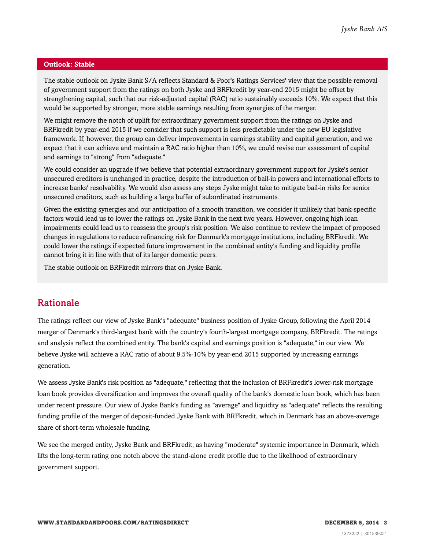#### **Outlook: Stable**

The stable outlook on Jyske Bank S/A reflects Standard & Poor's Ratings Services' view that the possible removal of government support from the ratings on both Jyske and BRFkredit by year-end 2015 might be offset by strengthening capital, such that our risk-adjusted capital (RAC) ratio sustainably exceeds 10%. We expect that this would be supported by stronger, more stable earnings resulting from synergies of the merger.

We might remove the notch of uplift for extraordinary government support from the ratings on Jyske and BRFkredit by year-end 2015 if we consider that such support is less predictable under the new EU legislative framework. If, however, the group can deliver improvements in earnings stability and capital generation, and we expect that it can achieve and maintain a RAC ratio higher than 10%, we could revise our assessment of capital and earnings to "strong" from "adequate."

We could consider an upgrade if we believe that potential extraordinary government support for Jyske's senior unsecured creditors is unchanged in practice, despite the introduction of bail-in powers and international efforts to increase banks' resolvability. We would also assess any steps Jyske might take to mitigate bail-in risks for senior unsecured creditors, such as building a large buffer of subordinated instruments.

Given the existing synergies and our anticipation of a smooth transition, we consider it unlikely that bank-specific factors would lead us to lower the ratings on Jyske Bank in the next two years. However, ongoing high loan impairments could lead us to reassess the group's risk position. We also continue to review the impact of proposed changes in regulations to reduce refinancing risk for Denmark's mortgage institutions, including BRFkredit. We could lower the ratings if expected future improvement in the combined entity's funding and liquidity profile cannot bring it in line with that of its larger domestic peers.

The stable outlook on BRFkredit mirrors that on Jyske Bank.

#### <span id="page-2-0"></span>Rationale

The ratings reflect our view of Jyske Bank's "adequate" business position of Jyske Group, following the April 2014 merger of Denmark's third-largest bank with the country's fourth-largest mortgage company, BRFkredit. The ratings and analysis reflect the combined entity. The bank's capital and earnings position is "adequate," in our view. We believe Jyske will achieve a RAC ratio of about 9.5%-10% by year-end 2015 supported by increasing earnings generation.

We assess Jyske Bank's risk position as "adequate," reflecting that the inclusion of BRFkredit's lower-risk mortgage loan book provides diversification and improves the overall quality of the bank's domestic loan book, which has been under recent pressure. Our view of Jyske Bank's funding as "average" and liquidity as "adequate" reflects the resulting funding profile of the merger of deposit-funded Jyske Bank with BRFkredit, which in Denmark has an above-average share of short-term wholesale funding.

We see the merged entity, Jyske Bank and BRFkredit, as having "moderate" systemic importance in Denmark, which lifts the long-term rating one notch above the stand-alone credit profile due to the likelihood of extraordinary government support.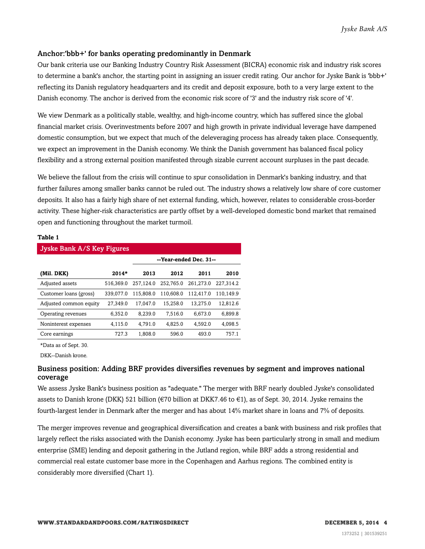#### Anchor:'bbb+' for banks operating predominantly in Denmark

Our bank criteria use our Banking Industry Country Risk Assessment (BICRA) economic risk and industry risk scores to determine a bank's anchor, the starting point in assigning an issuer credit rating. Our anchor for Jyske Bank is 'bbb+' reflecting its Danish regulatory headquarters and its credit and deposit exposure, both to a very large extent to the Danish economy. The anchor is derived from the economic risk score of '3' and the industry risk score of '4'.

We view Denmark as a politically stable, wealthy, and high-income country, which has suffered since the global financial market crisis. Overinvestments before 2007 and high growth in private individual leverage have dampened domestic consumption, but we expect that much of the deleveraging process has already taken place. Consequently, we expect an improvement in the Danish economy. We think the Danish government has balanced fiscal policy flexibility and a strong external position manifested through sizable current account surpluses in the past decade.

We believe the fallout from the crisis will continue to spur consolidation in Denmark's banking industry, and that further failures among smaller banks cannot be ruled out. The industry shows a relatively low share of core customer deposits. It also has a fairly high share of net external funding, which, however, relates to considerable cross-border activity. These higher-risk characteristics are partly offset by a well-developed domestic bond market that remained open and functioning throughout the market turmoil.

#### **Table 1**

| <b>Jyske Bank A/S Key Figures</b> |           |                        |           |           |           |  |  |  |  |  |
|-----------------------------------|-----------|------------------------|-----------|-----------|-----------|--|--|--|--|--|
|                                   |           | --Year-ended Dec. 31-- |           |           |           |  |  |  |  |  |
| (Mil. DKK)                        | $2014*$   | 2013                   | 2012      | 2011      | 2010      |  |  |  |  |  |
| Adjusted assets                   | 516.369.0 | 257.124.0              | 252.765.0 | 261.273.0 | 227.314.2 |  |  |  |  |  |
| Customer loans (gross)            | 339,077.0 | 115.808.0              | 110.608.0 | 112.417.0 | 110.149.9 |  |  |  |  |  |
| Adjusted common equity            | 27.349.0  | 17.047.0               | 15.258.0  | 13.275.0  | 12.812.6  |  |  |  |  |  |
| Operating revenues                | 6.352.0   | 8.239.0                | 7.516.0   | 6.673.0   | 6.899.8   |  |  |  |  |  |
| Noninterest expenses              | 4.115.0   | 4.791.0                | 4.825.0   | 4.592.0   | 4.098.5   |  |  |  |  |  |
| Core earnings                     | 727.3     | 1.808.0                | 596.0     | 493.0     | 757.1     |  |  |  |  |  |

\*Data as of Sept. 30.

DKK--Danish krone.

#### Business position: Adding BRF provides diversifies revenues by segment and improves national coverage

We assess Jyske Bank's business position as "adequate." The merger with BRF nearly doubled Jyske's consolidated assets to Danish krone (DKK) 521 billion (€70 billion at DKK7.46 to €1), as of Sept. 30, 2014. Jyske remains the fourth-largest lender in Denmark after the merger and has about 14% market share in loans and 7% of deposits.

The merger improves revenue and geographical diversification and creates a bank with business and risk profiles that largely reflect the risks associated with the Danish economy. Jyske has been particularly strong in small and medium enterprise (SME) lending and deposit gathering in the Jutland region, while BRF adds a strong residential and commercial real estate customer base more in the Copenhagen and Aarhus regions. The combined entity is considerably more diversified (Chart 1).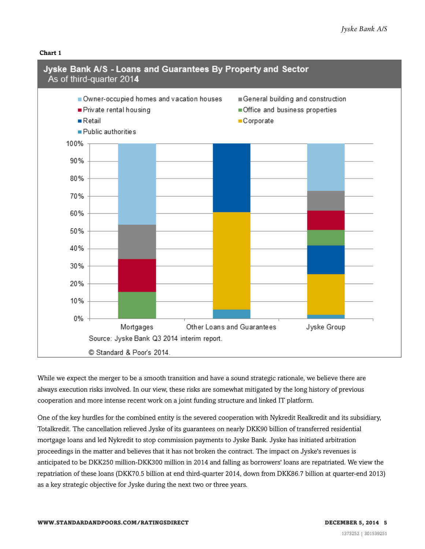



While we expect the merger to be a smooth transition and have a sound strategic rationale, we believe there are always execution risks involved. In our view, these risks are somewhat mitigated by the long history of previous cooperation and more intense recent work on a joint funding structure and linked IT platform.

One of the key hurdles for the combined entity is the severed cooperation with Nykredit Realkredit and its subsidiary, Totalkredit. The cancellation relieved Jyske of its guarantees on nearly DKK90 billion of transferred residential mortgage loans and led Nykredit to stop commission payments to Jyske Bank. Jyske has initiated arbitration proceedings in the matter and believes that it has not broken the contract. The impact on Jyske's revenues is anticipated to be DKK250 million-DKK300 million in 2014 and falling as borrowers' loans are repatriated. We view the repatriation of these loans (DKK70.5 billion at end third-quarter 2014, down from DKK86.7 billion at quarter-end 2013) as a key strategic objective for Jyske during the next two or three years.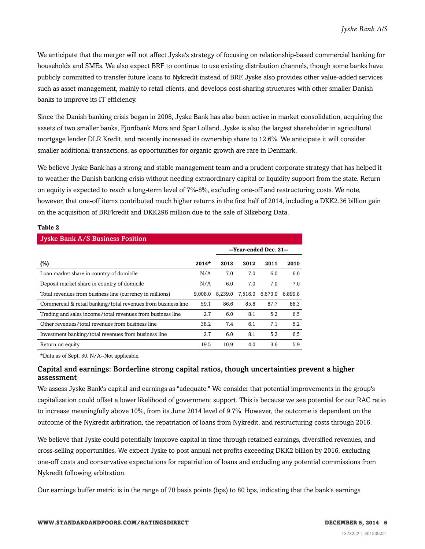We anticipate that the merger will not affect Jyske's strategy of focusing on relationship-based commercial banking for households and SMEs. We also expect BRF to continue to use existing distribution channels, though some banks have publicly committed to transfer future loans to Nykredit instead of BRF. Jyske also provides other value-added services such as asset management, mainly to retail clients, and develops cost-sharing structures with other smaller Danish banks to improve its IT efficiency.

Since the Danish banking crisis began in 2008, Jyske Bank has also been active in market consolidation, acquiring the assets of two smaller banks, Fjordbank Mors and Spar Lolland. Jyske is also the largest shareholder in agricultural mortgage lender DLR Kredit, and recently increased its ownership share to 12.6%. We anticipate it will consider smaller additional transactions, as opportunities for organic growth are rare in Denmark.

We believe Jyske Bank has a strong and stable management team and a prudent corporate strategy that has helped it to weather the Danish banking crisis without needing extraordinary capital or liquidity support from the state. Return on equity is expected to reach a long-term level of 7%-8%, excluding one-off and restructuring costs. We note, however, that one-off items contributed much higher returns in the first half of 2014, including a DKK2.36 billion gain on the acquisition of BRFkredit and DKK296 million due to the sale of Silkeborg Data.

#### **Table 2**

| <b>Jyske Bank A/S Business Position</b>                       |         |         |         |                        |         |  |  |  |  |
|---------------------------------------------------------------|---------|---------|---------|------------------------|---------|--|--|--|--|
|                                                               |         |         |         | --Year-ended Dec. 31-- |         |  |  |  |  |
| $(\%)$                                                        | $2014*$ | 2013    | 2012    | 2011                   | 2010    |  |  |  |  |
| Loan market share in country of domicile                      | N/A     | 7.0     | 7.0     | 6.0                    | 6.0     |  |  |  |  |
| Deposit market share in country of domicile                   | N/A     | 6.0     | 7.0     | 7.0                    | 7.0     |  |  |  |  |
| Total revenues from business line (currency in millions)      | 9.008.0 | 8.239.0 | 7.516.0 | 6,673.0                | 6.899.8 |  |  |  |  |
| Commercial & retail banking/total revenues from business line | 59.1    | 86.6    | 85.8    | 87.7                   | 88.3    |  |  |  |  |
| Trading and sales income/total revenues from business line    | 2.7     | 6.0     | 8.1     | 5.2                    | 6.5     |  |  |  |  |
| Other revenues/total revenues from business line              | 38.2    | 7.4     | 6.1     | 7.1                    | 5.2     |  |  |  |  |
| Investment banking/total revenues from business line          | 2.7     | 6.0     | 8.1     | 5.2                    | 6.5     |  |  |  |  |
| Return on equity                                              | 19.5    | 10.9    | 4.0     | 3.6                    | 5.9     |  |  |  |  |

\*Data as of Sept. 30. N/A--Not applicable.

#### Capital and earnings: Borderline strong capital ratios, though uncertainties prevent a higher assessment

We assess Jyske Bank's capital and earnings as "adequate." We consider that potential improvements in the group's capitalization could offset a lower likelihood of government support. This is because we see potential for our RAC ratio to increase meaningfully above 10%, from its June 2014 level of 9.7%. However, the outcome is dependent on the outcome of the Nykredit arbitration, the repatriation of loans from Nykredit, and restructuring costs through 2016.

We believe that Jyske could potentially improve capital in time through retained earnings, diversified revenues, and cross-selling opportunities. We expect Jyske to post annual net profits exceeding DKK2 billion by 2016, excluding one-off costs and conservative expectations for repatriation of loans and excluding any potential commissions from Nykredit following arbitration.

Our earnings buffer metric is in the range of 70 basis points (bps) to 80 bps, indicating that the bank's earnings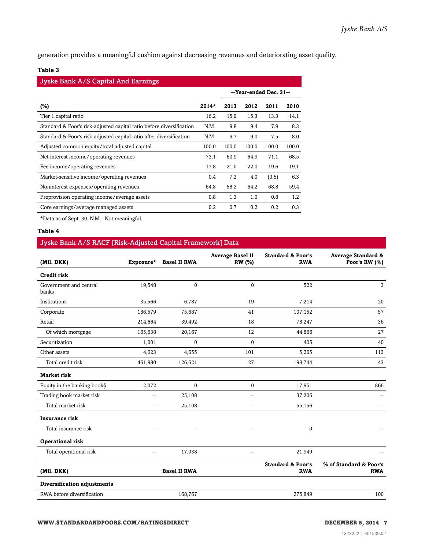generation provides a meaningful cushion against decreasing revenues and deteriorating asset quality.

#### **Table 3**

| <b>Jyske Bank A/S Capital And Earnings</b>                           |         |       |                        |       |       |  |  |  |  |
|----------------------------------------------------------------------|---------|-------|------------------------|-------|-------|--|--|--|--|
|                                                                      |         |       | --Year-ended Dec. 31-- |       |       |  |  |  |  |
| $(\%)$                                                               | $2014*$ | 2013  | 2012                   | 2011  | 2010  |  |  |  |  |
| Tier 1 capital ratio                                                 | 16.2    | 15.9  | 15.3                   | 13.3  | 14.1  |  |  |  |  |
| Standard & Poor's risk-adjusted capital ratio before diversification | N.M.    | 9.8   | 9.4                    | 7.9   | 8.3   |  |  |  |  |
| Standard & Poor's risk-adjusted capital ratio after diversification  | N.M.    | 9.7   | 9.0                    | 7.5   | 8.0   |  |  |  |  |
| Adjusted common equity/total adjusted capital                        | 100.0   | 100.0 | 100.0                  | 100.0 | 100.0 |  |  |  |  |
| Net interest income/operating revenues                               | 73.1    | 60.9  | 64.9                   | 71.1  | 68.5  |  |  |  |  |
| Fee income/operating revenues                                        | 17.8    | 21.0  | 22.0                   | 19.6  | 19.1  |  |  |  |  |
| Market-sensitive income/operating revenues                           | 0.4     | 7.2   | 4.0                    | (0.5) | 6.3   |  |  |  |  |
| Noninterest expenses/operating revenues                              | 64.8    | 58.2  | 64.2                   | 68.8  | 59.4  |  |  |  |  |
| Preprovision operating income/average assets                         | 0.8     | 1.3   | 1.0                    | 0.8   | 1.2   |  |  |  |  |
| Core earnings/average managed assets                                 | 0.2     | 0.7   | 0.2                    | 0.2   | 0.3   |  |  |  |  |

\*Data as of Sept. 30. N.M.--Not meaningful.

#### **Table 4**

#### Jyske Bank A/S RACF [Risk-Adjusted Capital Framework] Data

| (Mil. DKK)                      | Exposure*                | <b>Basel II RWA</b> | <b>Average Basel II</b><br>RW (%) | <b>Standard &amp; Poor's</b><br><b>RWA</b> | <b>Average Standard &amp;</b><br>Poor's RW (%) |
|---------------------------------|--------------------------|---------------------|-----------------------------------|--------------------------------------------|------------------------------------------------|
| <b>Credit risk</b>              |                          |                     |                                   |                                            |                                                |
| Government and central<br>banks | 19,548                   | $\mathbf{0}$        | $\mathbf{0}$                      | 522                                        | 3                                              |
| Institutions                    | 35,566                   | 6,787               | 19                                | 7,214                                      | 20                                             |
| Corporate                       | 186,579                  | 75,687              | 41                                | 107,152                                    | 57                                             |
| Retail                          | 214,664                  | 39,492              | 18                                | 78,247                                     | 36                                             |
| Of which mortgage               | 165,638                  | 20,167              | 12                                | 44,866                                     | 27                                             |
| Securitization                  | 1,001                    | 0                   | $\mathbf{0}$                      | 405                                        | 40                                             |
| Other assets                    | 4,623                    | 4,655               | 101                               | 5,205                                      | 113                                            |
| Total credit risk               | 461,980                  | 126,621             | 27                                | 198,744                                    | 43                                             |
| <b>Market risk</b>              |                          |                     |                                   |                                            |                                                |
| Equity in the banking book§     | 2,072                    | $\mathbf{0}$        | 0                                 | 17,951                                     | 866                                            |
| Trading book market risk        | $\overline{\phantom{a}}$ | 25,108              | --                                | 37,206                                     |                                                |
| Total market risk               | --                       | 25,108              | --                                | 55,156                                     |                                                |
| <b>Insurance risk</b>           |                          |                     |                                   |                                            |                                                |
| Total insurance risk            | Ξ.                       | --                  | --                                | $\mathbf{0}$                               |                                                |
| <b>Operational risk</b>         |                          |                     |                                   |                                            |                                                |
| Total operational risk          | --                       | 17,038              | --                                | 21,949                                     |                                                |
| (Mil. DKK)                      | <b>Basel II RWA</b>      |                     |                                   | <b>Standard &amp; Poor's</b><br><b>RWA</b> | % of Standard & Poor's<br><b>RWA</b>           |
| Diversification adjustments     |                          |                     |                                   |                                            |                                                |
| RWA before diversification      |                          | 168,767             |                                   | 275,849                                    | 100                                            |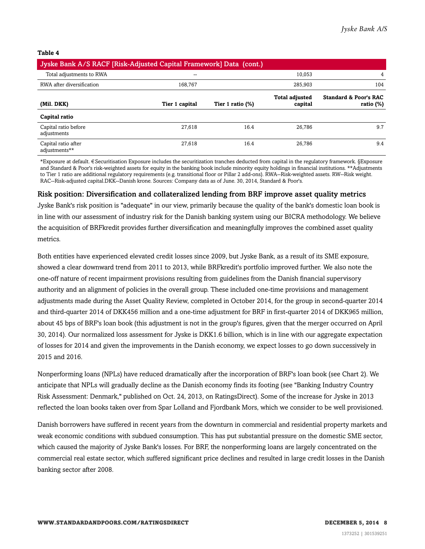**Table 4**

| Jyske Bank A/S RACF [Risk-Adjusted Capital Framework] Data (cont.) |                |                  |                                  |                                                  |  |  |  |  |
|--------------------------------------------------------------------|----------------|------------------|----------------------------------|--------------------------------------------------|--|--|--|--|
| Total adjustments to RWA                                           | $- -$          |                  | 10.053                           | 4                                                |  |  |  |  |
| RWA after diversification                                          | 168.767        |                  | 285.903                          | 104                                              |  |  |  |  |
| (Mil. DKK)                                                         | Tier 1 capital | Tier 1 ratio (%) | <b>Total adjusted</b><br>capital | <b>Standard &amp; Poor's RAC</b><br>ratio $(\%)$ |  |  |  |  |
| Capital ratio                                                      |                |                  |                                  |                                                  |  |  |  |  |
| Capital ratio before<br>adjustments                                | 27.618         | 16.4             | 26.786                           | 9.7                                              |  |  |  |  |
| Capital ratio after<br>adjustments**                               | 27,618         | 16.4             | 26,786                           | 9.4                                              |  |  |  |  |

\*Exposure at default. ¤Securitisation Exposure includes the securitization tranches deducted from capital in the regulatory framework. §Exposure and Standard & Poor's risk-weighted assets for equity in the banking book include minority equity holdings in financial institutions. \*\*Adjustments to Tier 1 ratio are additional regulatory requirements (e.g. transitional floor or Pillar 2 add-ons). RWA--Risk-weighted assets. RW--Risk weight. RAC--Risk-adjusted capital.DKK--Danish krone. Sources: Company data as of June. 30, 2014, Standard & Poor's.

#### Risk position: Diversification and collateralized lending from BRF improve asset quality metrics

Jyske Bank's risk position is "adequate" in our view, primarily because the quality of the bank's domestic loan book is in line with our assessment of industry risk for the Danish banking system using our BICRA methodology. We believe the acquisition of BRFkredit provides further diversification and meaningfully improves the combined asset quality metrics.

Both entities have experienced elevated credit losses since 2009, but Jyske Bank, as a result of its SME exposure, showed a clear downward trend from 2011 to 2013, while BRFkredit's portfolio improved further. We also note the one-off nature of recent impairment provisions resulting from guidelines from the Danish financial supervisory authority and an alignment of policies in the overall group. These included one-time provisions and management adjustments made during the Asset Quality Review, completed in October 2014, for the group in second-quarter 2014 and third-quarter 2014 of DKK456 million and a one-time adjustment for BRF in first-quarter 2014 of DKK965 million, about 45 bps of BRF's loan book (this adjustment is not in the group's figures, given that the merger occurred on April 30, 2014). Our normalized loss assessment for Jyske is DKK1.6 billion, which is in line with our aggregate expectation of losses for 2014 and given the improvements in the Danish economy, we expect losses to go down successively in 2015 and 2016.

Nonperforming loans (NPLs) have reduced dramatically after the incorporation of BRF's loan book (see Chart 2). We anticipate that NPLs will gradually decline as the Danish economy finds its footing (see "Banking Industry Country Risk Assessment: Denmark," published on Oct. 24, 2013, on RatingsDirect). Some of the increase for Jyske in 2013 reflected the loan books taken over from Spar Lolland and Fjordbank Mors, which we consider to be well provisioned.

Danish borrowers have suffered in recent years from the downturn in commercial and residential property markets and weak economic conditions with subdued consumption. This has put substantial pressure on the domestic SME sector, which caused the majority of Jyske Bank's losses. For BRF, the nonperforming loans are largely concentrated on the commercial real estate sector, which suffered significant price declines and resulted in large credit losses in the Danish banking sector after 2008.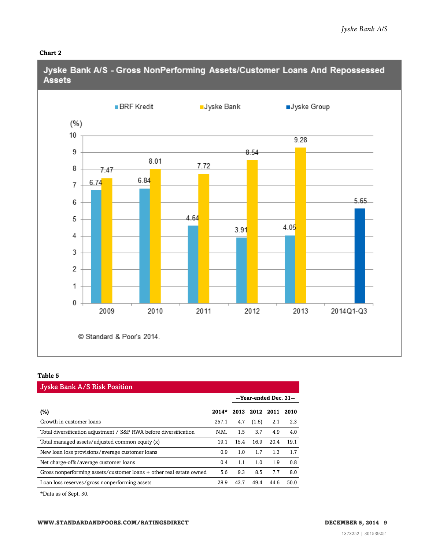#### **Chart 2**



#### **Table 5**

| <b>Jyske Bank A/S Risk Position</b>                                 |         |      |                        |      |      |  |  |  |  |
|---------------------------------------------------------------------|---------|------|------------------------|------|------|--|--|--|--|
|                                                                     |         |      | --Year-ended Dec. 31-- |      |      |  |  |  |  |
| (%)                                                                 | $2014*$ | 2013 | 2012                   | 2011 | 2010 |  |  |  |  |
| Growth in customer loans                                            | 257.1   | 4.7  | (1.6)                  | 2.1  | 2.3  |  |  |  |  |
| Total diversification adjustment / S&P RWA before diversification   | N.M.    | 1.5  | 3.7                    | 4.9  | 4.0  |  |  |  |  |
| Total managed assets/adjusted common equity (x)                     | 19.1    | 15.4 | 16.9                   | 20.4 | 19.1 |  |  |  |  |
| New loan loss provisions/average customer loans                     | 0.9     | 1.0  | 1.7                    | 1.3  | 1.7  |  |  |  |  |
| Net charge-offs/average customer loans                              | 0.4     | 1.1  | 1.0                    | 1.9  | 0.8  |  |  |  |  |
| Gross nonperforming assets/customer loans + other real estate owned | 5.6     | 9.3  | 8.5                    | 7.7  | 8.0  |  |  |  |  |
| Loan loss reserves/gross nonperforming assets                       | 28.9    | 43.7 | 49.4                   | 44.6 | 50.0 |  |  |  |  |

\*Data as of Sept. 30.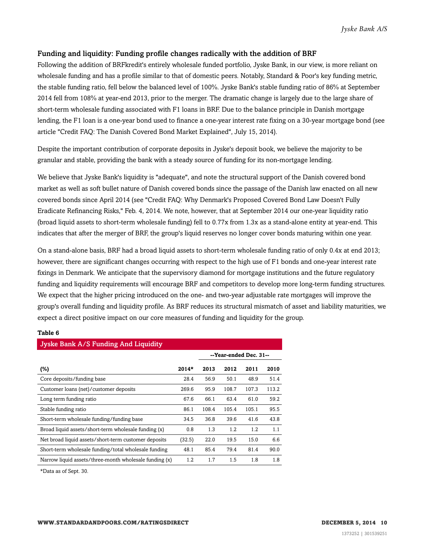#### Funding and liquidity: Funding profile changes radically with the addition of BRF

Following the addition of BRFkredit's entirely wholesale funded portfolio, Jyske Bank, in our view, is more reliant on wholesale funding and has a profile similar to that of domestic peers. Notably, Standard & Poor's key funding metric, the stable funding ratio, fell below the balanced level of 100%. Jyske Bank's stable funding ratio of 86% at September 2014 fell from 108% at year-end 2013, prior to the merger. The dramatic change is largely due to the large share of short-term wholesale funding associated with F1 loans in BRF. Due to the balance principle in Danish mortgage lending, the F1 loan is a one-year bond used to finance a one-year interest rate fixing on a 30-year mortgage bond (see article "Credit FAQ: The Danish Covered Bond Market Explained", July 15, 2014).

Despite the important contribution of corporate deposits in Jyske's deposit book, we believe the majority to be granular and stable, providing the bank with a steady source of funding for its non-mortgage lending.

We believe that Jyske Bank's liquidity is "adequate", and note the structural support of the Danish covered bond market as well as soft bullet nature of Danish covered bonds since the passage of the Danish law enacted on all new covered bonds since April 2014 (see "Credit FAQ: Why Denmark's Proposed Covered Bond Law Doesn't Fully Eradicate Refinancing Risks," Feb. 4, 2014. We note, however, that at September 2014 our one-year liquidity ratio (broad liquid assets to short-term wholesale funding) fell to 0.77x from 1.3x as a stand-alone entity at year-end. This indicates that after the merger of BRF, the group's liquid reserves no longer cover bonds maturing within one year.

On a stand-alone basis, BRF had a broad liquid assets to short-term wholesale funding ratio of only 0.4x at end 2013; however, there are significant changes occurring with respect to the high use of F1 bonds and one-year interest rate fixings in Denmark. We anticipate that the supervisory diamond for mortgage institutions and the future regulatory funding and liquidity requirements will encourage BRF and competitors to develop more long-term funding structures. We expect that the higher pricing introduced on the one- and two-year adjustable rate mortgages will improve the group's overall funding and liquidity profile. As BRF reduces its structural mismatch of asset and liability maturities, we expect a direct positive impact on our core measures of funding and liquidity for the group.

#### **Table 6**

| Jyske Bank A/S Funding And Liquidity                   |         |       |       |                        |       |  |  |  |  |
|--------------------------------------------------------|---------|-------|-------|------------------------|-------|--|--|--|--|
|                                                        |         |       |       | --Year-ended Dec. 31-- |       |  |  |  |  |
| (%)                                                    | $2014*$ | 2013  | 2012  | 2011                   | 2010  |  |  |  |  |
| Core deposits/funding base                             | 28.4    | 56.9  | 50.1  | 48.9                   | 51.4  |  |  |  |  |
| Customer loans (net)/customer deposits                 | 269.6   | 95.9  | 108.7 | 107.3                  | 113.2 |  |  |  |  |
| Long term funding ratio                                | 67.6    | 66.1  | 63.4  | 61.0                   | 59.2  |  |  |  |  |
| Stable funding ratio                                   | 86.1    | 108.4 | 105.4 | 105.1                  | 95.5  |  |  |  |  |
| Short-term wholesale funding/funding base              | 34.5    | 36.8  | 39.6  | 41.6                   | 43.8  |  |  |  |  |
| Broad liquid assets/short-term wholesale funding (x)   | 0.8     | 1.3   | 1.2   | 1.2                    | 1.1   |  |  |  |  |
| Net broad liquid assets/short-term customer deposits   | (32.5)  | 22.0  | 19.5  | 15.0                   | 6.6   |  |  |  |  |
| Short-term wholesale funding/total wholesale funding   | 48.1    | 85.4  | 79.4  | 81.4                   | 90.0  |  |  |  |  |
| Narrow liquid assets/three-month wholesale funding (x) | 1.2     | 1.7   | 1.5   | 1.8                    | 1.8   |  |  |  |  |

\*Data as of Sept. 30.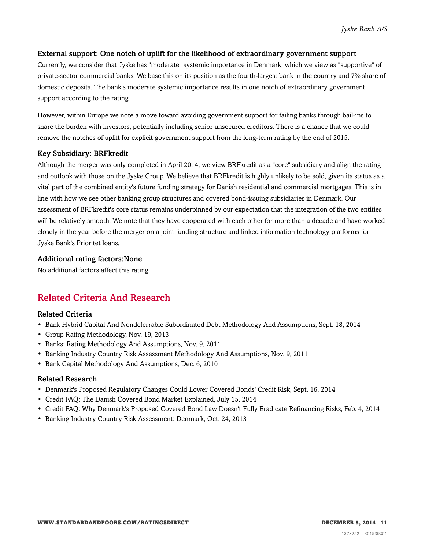#### External support: One notch of uplift for the likelihood of extraordinary government support

Currently, we consider that Jyske has "moderate" systemic importance in Denmark, which we view as "supportive" of private-sector commercial banks. We base this on its position as the fourth-largest bank in the country and 7% share of domestic deposits. The bank's moderate systemic importance results in one notch of extraordinary government support according to the rating.

However, within Europe we note a move toward avoiding government support for failing banks through bail-ins to share the burden with investors, potentially including senior unsecured creditors. There is a chance that we could remove the notches of uplift for explicit government support from the long-term rating by the end of 2015.

#### Key Subsidiary: BRFkredit

Although the merger was only completed in April 2014, we view BRFkredit as a "core" subsidiary and align the rating and outlook with those on the Jyske Group. We believe that BRFkredit is highly unlikely to be sold, given its status as a vital part of the combined entity's future funding strategy for Danish residential and commercial mortgages. This is in line with how we see other banking group structures and covered bond-issuing subsidiaries in Denmark. Our assessment of BRFkredit's core status remains underpinned by our expectation that the integration of the two entities will be relatively smooth. We note that they have cooperated with each other for more than a decade and have worked closely in the year before the merger on a joint funding structure and linked information technology platforms for Jyske Bank's Prioritet loans.

#### Additional rating factors:None

<span id="page-10-0"></span>No additional factors affect this rating.

### Related Criteria And Research

#### Related Criteria

- Bank Hybrid Capital And Nondeferrable Subordinated Debt Methodology And Assumptions, Sept. 18, 2014
- Group Rating Methodology, Nov. 19, 2013
- Banks: Rating Methodology And Assumptions, Nov. 9, 2011
- Banking Industry Country Risk Assessment Methodology And Assumptions, Nov. 9, 2011
- Bank Capital Methodology And Assumptions, Dec. 6, 2010

#### Related Research

- Denmark's Proposed Regulatory Changes Could Lower Covered Bonds' Credit Risk, Sept. 16, 2014
- Credit FAQ: The Danish Covered Bond Market Explained, July 15, 2014
- Credit FAQ: Why Denmark's Proposed Covered Bond Law Doesn't Fully Eradicate Refinancing Risks, Feb. 4, 2014
- Banking Industry Country Risk Assessment: Denmark, Oct. 24, 2013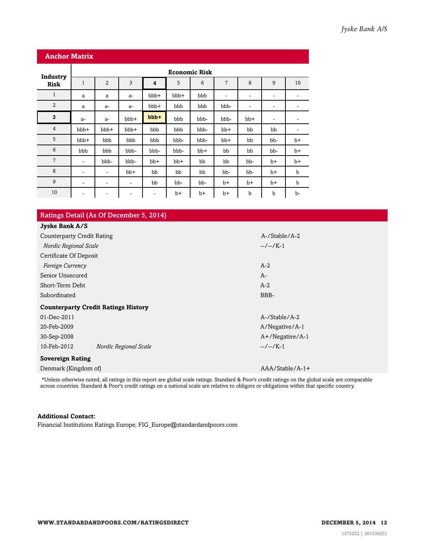| <b>Anchor Matrix</b> |                              |                      |       |         |       |       |                |      |                          |                          |
|----------------------|------------------------------|----------------------|-------|---------|-------|-------|----------------|------|--------------------------|--------------------------|
| Industry             |                              | <b>Economic Risk</b> |       |         |       |       |                |      |                          |                          |
| <b>Risk</b>          | $\mathbf{1}$                 | $\overline{2}$       | 3     | 4       | 5     | 6     | $\overline{7}$ | 8    | 9                        | 10                       |
| $\mathbf{1}$         | a                            | a                    | $a-$  | bbb+    | bbb+  | bbb   | ۰              | ۰    | ٠                        | $\overline{\phantom{a}}$ |
| $\overline{2}$       | a                            | $a-$                 | $a-$  | bbb+    | bbb   | bbb   | bbb-           | -    | $\overline{\phantom{a}}$ | ٠                        |
| 3                    | $a-$                         | $a-$                 | bbb+  | $bbb +$ | bbb   | bbb-  | bbb-           | bb+  | $\overline{\phantom{a}}$ | ٠                        |
| $\overline{4}$       | bbb+                         | bbb+                 | bbb+  | bbb     | bbb   | bbb-  | bb+            | bb   | bb                       | ۰                        |
| 5                    | bbb+                         | bbb                  | bbb   | bbb     | bbb-  | bbb-  | $bb+$          | bb   | bb-                      | $b+$                     |
| 6                    | bbb                          | bbb                  | bbb-  | bbb-    | bbb-  | $bb+$ | bb             | bb   | bb-                      | b+                       |
| $\overline{7}$       | ۰                            | bbb-                 | bbb-  | $bb+$   | $bb+$ | bb    | bb             | bb-  | $b+$                     | b+                       |
| 8                    | $\overline{\phantom{a}}$     | ٠                    | $bb+$ | bb      | bb    | bb    | bb-            | bb-  | $b+$                     | $\mathbf b$              |
| 9                    | ۰                            | ٠                    | ۰     | bb      | bb-   | bb-   | $b+$           | $b+$ | $b+$                     | $\mathbf b$              |
| 10                   | $\qquad \qquad \blacksquare$ | ۰                    | -     | -       | $b+$  | $b+$  | b+             | b    | b                        | b-                       |

| Ratings Detail (As Of December 5, 2014)    |                    |  |  |  |  |  |  |
|--------------------------------------------|--------------------|--|--|--|--|--|--|
| Jyske Bank A/S                             |                    |  |  |  |  |  |  |
| <b>Counterparty Credit Rating</b>          | A-/Stable/A-2      |  |  |  |  |  |  |
| Nordic Regional Scale                      | $-/-/K-1$          |  |  |  |  |  |  |
| Certificate Of Deposit                     |                    |  |  |  |  |  |  |
| Foreign Currency                           | $A-2$              |  |  |  |  |  |  |
| Senior Unsecured                           | $A-$               |  |  |  |  |  |  |
| Short-Term Debt                            | $A-2$              |  |  |  |  |  |  |
| Subordinated                               | BBB-               |  |  |  |  |  |  |
| <b>Counterparty Credit Ratings History</b> |                    |  |  |  |  |  |  |
| 01-Dec-2011                                | A-/Stable/A-2      |  |  |  |  |  |  |
| 20-Feb-2009                                | A/Negative/A-1     |  |  |  |  |  |  |
| 30-Sep-2008                                | $A+$ /Negative/A-1 |  |  |  |  |  |  |
| 10-Feb-2012<br>Nordic Regional Scale       | $-/-/K-1$          |  |  |  |  |  |  |
| <b>Sovereign Rating</b>                    |                    |  |  |  |  |  |  |
| Denmark (Kingdom of)                       | $AAA/Stable/A-1+$  |  |  |  |  |  |  |
|                                            |                    |  |  |  |  |  |  |

\*Unless otherwise noted, all ratings in this report are global scale ratings. Standard & Poor's credit ratings on the global scale are comparable across countries. Standard & Poor's credit ratings on a national scale are relative to obligors or obligations within that specific country.

#### **Additional Contact:**

Financial Institutions Ratings Europe; FIG\_Europe@standardandpoors.com